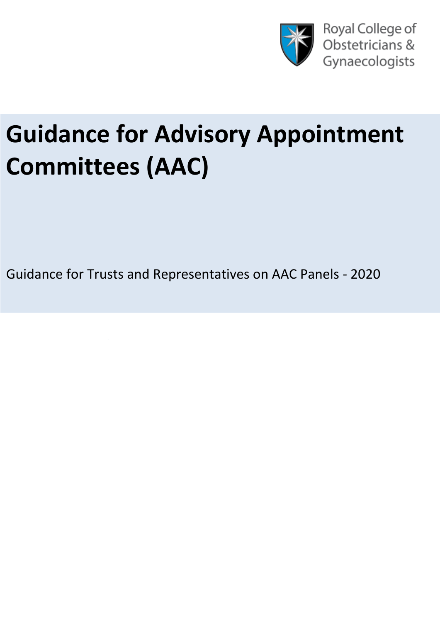

# **Guidance for Advisory Appointment Committees (AAC)**

Guidance for Trusts and Representatives on AAC Panels - 2020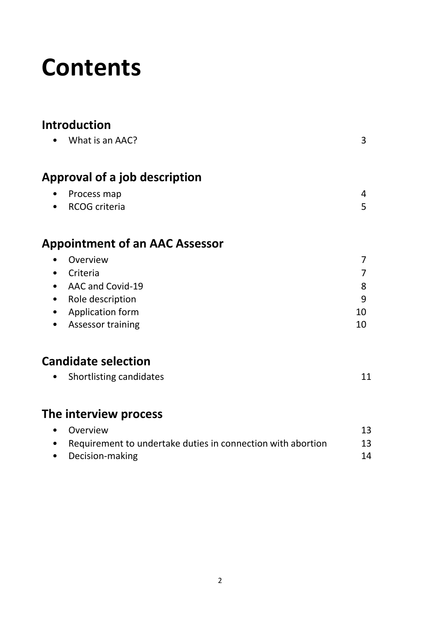## **Contents**

## **Introduction**

| $\bullet$ | What is an AAC?                      | 3 |
|-----------|--------------------------------------|---|
|           | <b>Approval of a job description</b> |   |
| $\bullet$ | Process map                          | 4 |
| $\bullet$ | <b>RCOG</b> criteria                 | 5 |
|           |                                      |   |

## **Appointment of an AAC Assessor**

| $\bullet$ | Overview                 |     |
|-----------|--------------------------|-----|
| $\bullet$ | Criteria                 |     |
|           | • AAC and Covid-19       | 8   |
|           | • Role description       | 9   |
|           | • Application form       | 10  |
| $\bullet$ | <b>Assessor training</b> | 10. |

## **Candidate selection**

|  | Shortlisting candidates |  |
|--|-------------------------|--|
|--|-------------------------|--|

## **[The interview process](#page-12-0)**

| • Overview                                                    | 13 |
|---------------------------------------------------------------|----|
| • Requirement to undertake duties in connection with abortion | 13 |
| • Decision-making                                             | 14 |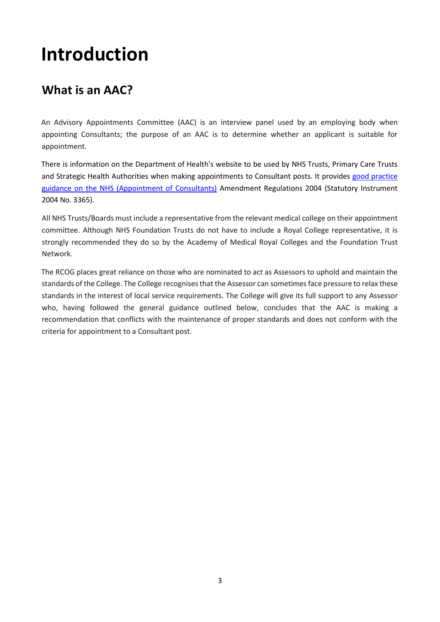## **Introduction**

## <span id="page-2-0"></span>**What is an AAC?**

An Advisory Appointments Committee (AAC) is an interview panel used by an employing body when appointing Consultants; the purpose of an AAC is to determine whether an applicant is suitable for appointment.

There is information on the Department of Health's website to be used by NHS Trusts, Primary Care Trusts and Strategic Health Authorities when making appointments to Consultant posts. It provides good practice [guidance on the NHS \(Appointment of Consultants\)](https://webarchive.nationalarchives.gov.uk/20130103004835/http:/www.dh.gov.uk/prod_consum_dh/groups/dh_digitalassets/@dh/@en/documents/digitalasset/dh_4102750.pdf) Amendment Regulations 2004 (Statutory Instrument 2004 No. 3365).

All NHS Trusts/Boards must include a representative from the relevant medical college on their appointment committee. Although NHS Foundation Trusts do not have to include a Royal College representative, it is strongly recommended they do so by the [Academy of Medical Royal Colleges](http://www.rcoa.ac.uk/system/files/CSQ-AACs-AoRMC-FT-ConsSASAppts.pdf) and the [Foundation Trust](http://www.rcoa.ac.uk/system/files/CSQ-AACs-FT-Guidance.pdf) [Network.](http://www.rcoa.ac.uk/system/files/CSQ-AACs-FT-Guidance.pdf)

The RCOG places great reliance on those who are nominated to act as Assessors to uphold and maintain the standards of the College. The College recognises that the Assessor can sometimes face pressure to relax these standards in the interest of local service requirements. The College will give its full support to any Assessor who, having followed the general guidance outlined below, concludes that the AAC is making a recommendation that conflicts with the maintenance of proper standards and does not conform with the criteria for appointment to a Consultant post.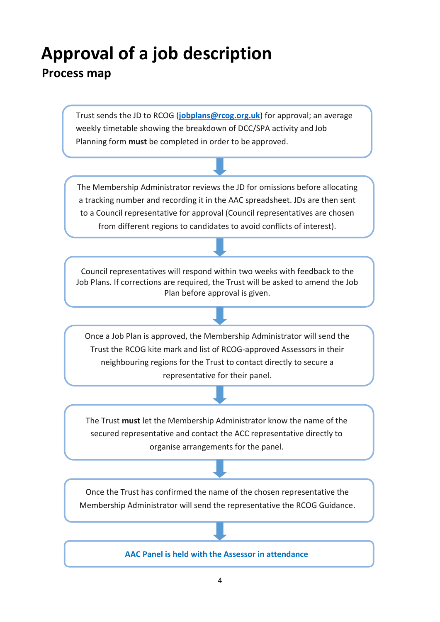## <span id="page-3-0"></span>**Approval of a job description**

### <span id="page-3-1"></span>**Process map**

Trust sends the JD to RCOG (**[jobplans@rcog.org.uk](mailto:jobplans@rcog.org.uk)**) for approval; an average weekly timetable showing the breakdown of DCC/SPA activity and Job Planning form **must** be completed in order to be approved.

The Membership Administrator reviews the JD for omissions before allocating a tracking number and recording it in the AAC spreadsheet. JDs are then sent to a Council representative for approval (Council representatives are chosen from different regions to candidates to avoid conflicts of interest).

Council representatives will respond within two weeks with feedback to the Job Plans. If corrections are required, the Trust will be asked to amend the Job Plan before approval is given.

Once a Job Plan is approved, the Membership Administrator will send the Trust the RCOG kite mark and list of RCOG-approved Assessors in their neighbouring regions for the Trust to contact directly to secure a representative for their panel.

The Trust **must** let the Membership Administrator know the name of the secured representative and contact the ACC representative directly to organise arrangements for the panel.

Once the Trust has confirmed the name of the chosen representative the Membership Administrator will send the representative the RCOG Guidance.

**AAC Panel is held with the Assessor in attendance**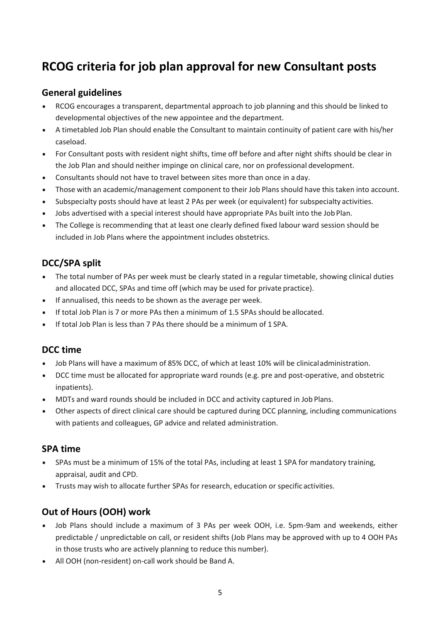## **RCOG criteria for job plan approval for new Consultant posts**

#### **General guidelines**

- RCOG encourages a transparent, departmental approach to job planning and this should be linked to developmental objectives of the new appointee and the department.
- A timetabled Job Plan should enable the Consultant to maintain continuity of patient care with his/her caseload.
- For Consultant posts with resident night shifts, time off before and after night shifts should be clear in the Job Plan and should neither impinge on clinical care, nor on professional development.
- Consultants should not have to travel between sites more than once in a day.
- Those with an academic/management component to their Job Plans should have this taken into account.
- Subspecialty posts should have at least 2 PAs per week (or equivalent) for subspecialty activities.
- Jobs advertised with a special interest should have appropriate PAs built into the JobPlan.
- The College is recommending that at least one clearly defined fixed labour ward session should be included in Job Plans where the appointment includes obstetrics.

#### **DCC/SPA split**

- The total number of PAs per week must be clearly stated in a regular timetable, showing clinical duties and allocated DCC, SPAs and time off (which may be used for private practice).
- If annualised, this needs to be shown as the average per week.
- If total Job Plan is 7 or more PAs then a minimum of 1.5 SPAs should be allocated.
- If total Job Plan is less than 7 PAs there should be a minimum of 1 SPA.

#### **DCC time**

- Job Plans will have a maximum of 85% DCC, of which at least 10% will be clinicaladministration.
- DCC time must be allocated for appropriate ward rounds (e.g. pre and post-operative, and obstetric inpatients).
- MDTs and ward rounds should be included in DCC and activity captured in Job Plans.
- Other aspects of direct clinical care should be captured during DCC planning, including communications with patients and colleagues, GP advice and related administration.

#### **SPA time**

- SPAs must be a minimum of 15% of the total PAs, including at least 1 SPA for mandatory training, appraisal, audit and CPD.
- Trusts may wish to allocate further SPAs for research, education or specific activities.

#### **Out of Hours (OOH) work**

- Job Plans should include a maximum of 3 PAs per week OOH, i.e. 5pm-9am and weekends, either predictable / unpredictable on call, or resident shifts (Job Plans may be approved with up to 4 OOH PAs in those trusts who are actively planning to reduce this number).
- All OOH (non-resident) on-call work should be Band A.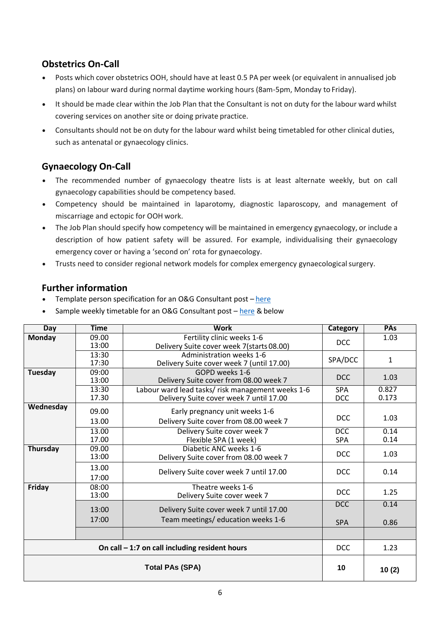#### **Obstetrics On-Call**

- Posts which cover obstetrics OOH, should have at least 0.5 PA per week (or equivalent in annualised job plans) on labour ward during normal daytime working hours (8am-5pm, Monday to Friday).
- It should be made clear within the Job Plan that the Consultant is not on duty for the labour ward whilst covering services on another site or doing private practice.
- Consultants should not be on duty for the labour ward whilst being timetabled for other clinical duties, such as antenatal or gynaecology clinics.

#### **Gynaecology On-Call**

- The recommended number of gynaecology theatre lists is at least alternate weekly, but on call gynaecology capabilities should be competency based.
- Competency should be maintained in laparotomy, diagnostic laparoscopy, and management of miscarriage and ectopic for OOH work.
- The Job Plan should specify how competency will be maintained in emergency gynaecology, or include a description of how patient safety will be assured. For example, individualising their gynaecology emergency cover or having a 'second on' rota for gynaecology.
- Trusts need to consider regional network models for complex emergency gynaecologicalsurgery.

#### **Further information**

- Template person specification for an O&G Consultant post [here](https://www.rcog.org.uk/en/careers-training/workplace-workforce-issues/job-plan-approval-process/template-person-specification/)
- Sample weekly timetable for an O&G Consultant post  $-$  [here](https://www.rcog.org.uk/en/careers-training/workplace-workforce-issues/job-plan-approval-process/sample-weekly-timetable/) & below

| Day                                             | <b>Time</b>    | <b>Work</b>                                                                                  | Category                 | PAs            |
|-------------------------------------------------|----------------|----------------------------------------------------------------------------------------------|--------------------------|----------------|
| <b>Monday</b>                                   | 09.00<br>13:00 | Fertility clinic weeks 1-6<br>Delivery Suite cover week 7(starts 08.00)                      | <b>DCC</b>               | 1.03           |
|                                                 | 13:30<br>17:30 | Administration weeks 1-6<br>Delivery Suite cover week 7 (until 17.00)                        | SPA/DCC                  | $\mathbf{1}$   |
| Tuesday                                         | 09:00<br>13:00 | GOPD weeks 1-6<br>Delivery Suite cover from 08.00 week 7                                     | <b>DCC</b>               | 1.03           |
|                                                 | 13:30<br>17.30 | Labour ward lead tasks/ risk management weeks 1-6<br>Delivery Suite cover week 7 until 17.00 | <b>SPA</b><br><b>DCC</b> | 0.827<br>0.173 |
| Wednesday                                       | 09.00<br>13.00 | Early pregnancy unit weeks 1-6<br>Delivery Suite cover from 08.00 week 7                     | <b>DCC</b>               | 1.03           |
|                                                 | 13.00<br>17.00 | Delivery Suite cover week 7<br>Flexible SPA (1 week)                                         | <b>DCC</b><br><b>SPA</b> | 0.14<br>0.14   |
| Thursday                                        | 09.00<br>13:00 | Diabetic ANC weeks 1-6<br>Delivery Suite cover from 08.00 week 7                             | <b>DCC</b>               | 1.03           |
|                                                 | 13.00<br>17:00 | Delivery Suite cover week 7 until 17.00                                                      | <b>DCC</b>               | 0.14           |
| Friday                                          | 08:00<br>13:00 | Theatre weeks 1-6<br>Delivery Suite cover week 7                                             | <b>DCC</b>               | 1.25           |
|                                                 | 13:00<br>17:00 | Delivery Suite cover week 7 until 17.00<br>Team meetings/ education weeks 1-6                | <b>DCC</b><br><b>SPA</b> | 0.14<br>0.86   |
|                                                 |                |                                                                                              |                          |                |
| On call $-1:7$ on call including resident hours |                |                                                                                              | <b>DCC</b>               | 1.23           |
| <b>Total PAs (SPA)</b>                          |                |                                                                                              | 10                       | 10(2)          |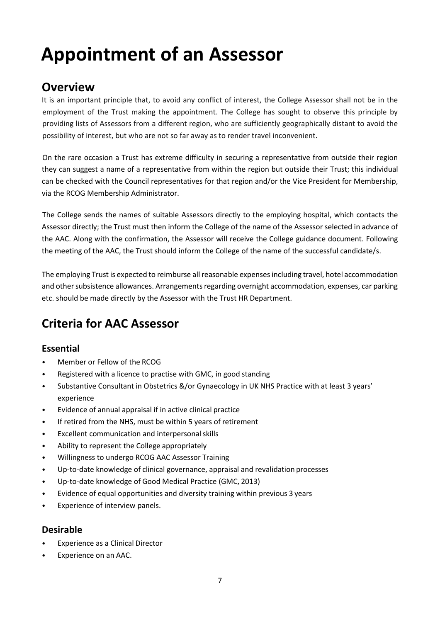## **Appointment of an Assessor**

### <span id="page-6-0"></span>**Overview**

It is an important principle that, to avoid any conflict of interest, the College Assessor shall not be in the employment of the Trust making the appointment. The College has sought to observe this principle by providing lists of Assessors from a different region, who are sufficiently geographically distant to avoid the possibility of interest, but who are not so far away as to render travel inconvenient.

On the rare occasion a Trust has extreme difficulty in securing a representative from outside their region they can suggest a name of a representative from within the region but outside their Trust; this individual can be checked with the Council representatives for that region and/or the Vice President for Membership, via the RCOG Membership Administrator.

The College sends the names of suitable Assessors directly to the employing hospital, which contacts the Assessor directly; the Trust must then inform the College of the name of the Assessor selected in advance of the AAC. Along with the confirmation, the Assessor will receive the College guidance document. Following the meeting of the AAC, the Trust should inform the College of the name of the successful candidate/s.

The employing Trust is expected to reimburse all reasonable expenses including travel, hotel accommodation and other subsistence allowances. Arrangements regarding overnight accommodation, expenses, car parking etc. should be made directly by the Assessor with the Trust HR Department.

## **Criteria for AAC Assessor**

#### **Essential**

- Member or Fellow of the RCOG
- Registered with a licence to practise with GMC, in good standing
- Substantive Consultant in Obstetrics &/or Gynaecology in UK NHS Practice with at least 3 years' experience
- Evidence of annual appraisal if in active clinical practice
- If retired from the NHS, must be within 5 years of retirement
- Excellent communication and interpersonalskills
- Ability to represent the College appropriately
- Willingness to undergo RCOG AAC Assessor Training
- Up-to-date knowledge of clinical governance, appraisal and revalidation processes
- Up-to-date knowledge of Good Medical Practice (GMC, 2013)
- Evidence of equal opportunities and diversity training within previous 3 years
- Experience of interview panels.

#### **Desirable**

- Experience as a Clinical Director
- Experience on an AAC.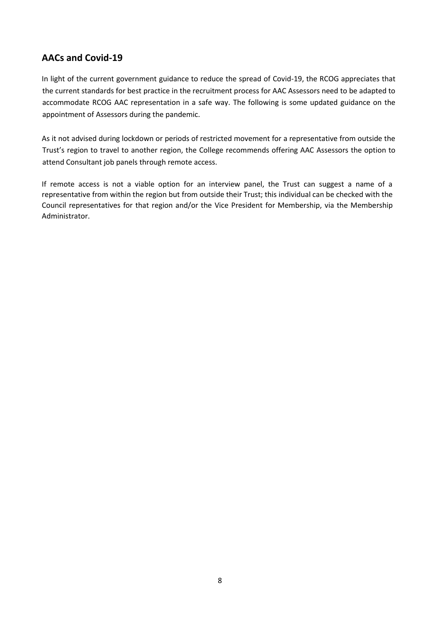#### **AACs and Covid-19**

In light of the current government guidance to reduce the spread of Covid-19, the RCOG appreciates that the current standards for best practice in the recruitment process for AAC Assessors need to be adapted to accommodate RCOG AAC representation in a safe way. The following is some updated guidance on the appointment of Assessors during the pandemic.

As it not advised during lockdown or periods of restricted movement for a representative from outside the Trust's region to travel to another region, the College recommends offering AAC Assessors the option to attend Consultant job panels through remote access.

If remote access is not a viable option for an interview panel, the Trust can suggest a name of a representative from within the region but from outside their Trust; this individual can be checked with the Council representatives for that region and/or the Vice President for Membership, via the Membership Administrator.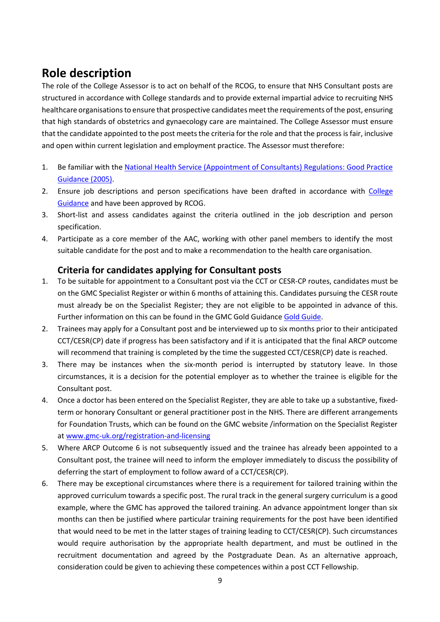### **Role description**

The role of the College Assessor is to act on behalf of the RCOG, to ensure that NHS Consultant posts are structured in accordance with College standards and to provide external impartial advice to recruiting NHS healthcare organisations to ensure that prospective candidates meet the requirements of the post, ensuring that high standards of obstetrics and gynaecology care are maintained. The College Assessor must ensure that the candidate appointed to the post meetsthe criteria for the role and that the process is fair, inclusive and open within current legislation and employment practice. The Assessor must therefore:

- 1. Be familiar with th[e National Health Service \(Appointment of Consultants\) Regulations: Good Practice](https://webarchive.nationalarchives.gov.uk/20130103004835/http:/www.dh.gov.uk/prod_consum_dh/groups/dh_digitalassets/@dh/@en/documents/digitalasset/dh_4102750.pdf)  [Guidance](https://webarchive.nationalarchives.gov.uk/20130103004835/http:/www.dh.gov.uk/prod_consum_dh/groups/dh_digitalassets/@dh/@en/documents/digitalasset/dh_4102750.pdf) (2005).
- 2. Ensure job descriptions and person specifications have been drafted in accordance with College [Guidance](https://www.rcog.org.uk/en/careers-training/workplace-workforce-issues/consultant-job-planning/) and have been approved by RCOG.
- 3. Short-list and assess candidates against the criteria outlined in the job description and person specification.
- 4. Participate as a core member of the AAC, working with other panel members to identify the most suitable candidate for the post and to make a recommendation to the health care organisation.

#### **Criteria for candidates applying for Consultant posts**

- 1. To be suitable for appointment to a Consultant post via the CCT or CESR-CP routes, candidates must be on the GMC Specialist Register or within 6 months of attaining this. Candidates pursuing the CESR route must already be on the Specialist Register; they are not eligible to be appointed in advance of this. Further information on this can be found in the GMC Gold Guidance [Gold Guide.](https://www.copmed.org.uk/images/docs/gold_guide_7th_edition/The_Gold_Guide_7th_Edition_January__2018.pdf)
- 2. Trainees may apply for a Consultant post and be interviewed up to six months prior to their anticipated CCT/CESR(CP) date if progress has been satisfactory and if it is anticipated that the final ARCP outcome will recommend that training is completed by the time the suggested CCT/CESR(CP) date is reached.
- 3. There may be instances when the six-month period is interrupted by statutory leave. In those circumstances, it is a decision for the potential employer as to whether the trainee is eligible for the Consultant post.
- 4. Once a doctor has been entered on the Specialist Register, they are able to take up a substantive, fixedterm or honorary Consultant or general practitioner post in the NHS. There are different arrangements for Foundation Trusts, which can be found on the GMC website /information on the Specialist Register at [www.gmc-uk.org/registration-and-licensing](http://www.gmc-uk.org/registration-and-licensing)
- 5. Where ARCP Outcome 6 is not subsequently issued and the trainee has already been appointed to a Consultant post, the trainee will need to inform the employer immediately to discuss the possibility of deferring the start of employment to follow award of a CCT/CESR(CP).
- 6. There may be exceptional circumstances where there is a requirement for tailored training within the approved curriculum towards a specific post. The rural track in the general surgery curriculum is a good example, where the GMC has approved the tailored training. An advance appointment longer than six months can then be justified where particular training requirements for the post have been identified that would need to be met in the latter stages of training leading to CCT/CESR(CP). Such circumstances would require authorisation by the appropriate health department, and must be outlined in the recruitment documentation and agreed by the Postgraduate Dean. As an alternative approach, consideration could be given to achieving these competences within a post CCT Fellowship.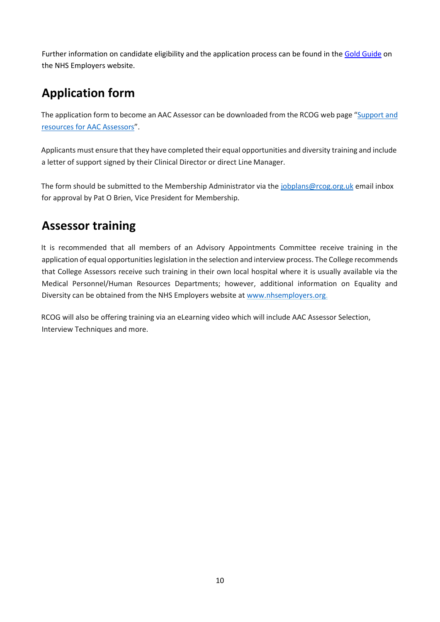Further information on candidate eligibility and the application process can be found in the [Gold Guide](https://www.copmed.org.uk/images/docs/gold_guide_7th_edition/The_Gold_Guide_7th_Edition_January__2018.pdf) on the NHS Employers website.

## **Application form**

The application form to become an AAC Assessor can be downloaded from the RCOG web page "[Support](https://www.rcog.org.uk/en/careers-training/workplace-workforce-issues/aac-assessors) and [resources for AAC Assessors](https://www.rcog.org.uk/en/careers-training/workplace-workforce-issues/aac-assessors)".

Applicants must ensure that they have completed their equal opportunities and diversity training and include a letter of support signed by their Clinical Director or direct Line Manager.

The form should be submitted to the Membership Administrator via the [jobplans@rcog.org.uk](mailto:jobplans@rcog.org.uk) email inbox for approval by Pat O Brien, Vice President for Membership.

### **Assessor training**

It is recommended that all members of an Advisory Appointments Committee receive training in the application of equal opportunities legislation in the selection and interview process. The College recommends that College Assessors receive such training in their own local hospital where it is usually available via the Medical Personnel/Human Resources Departments; however, additional information on Equality and Diversity can be obtained from the NHS Employers website at [www.nhsemployers.org.](http://www.nhsemployers.org/)

RCOG will also be offering training via an eLearning video which will include AAC Assessor Selection, Interview Techniques and more.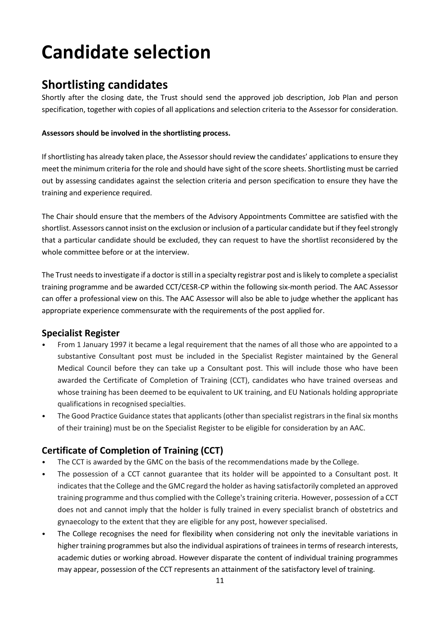## **Candidate selection**

### <span id="page-10-0"></span>**Shortlisting candidates**

Shortly after the closing date, the Trust should send the approved job description, Job Plan and person specification, together with copies of all applications and selection criteria to the Assessor for consideration.

#### **Assessors should be involved in the shortlisting process.**

Ifshortlisting has already taken place, the Assessor should review the candidates' applications to ensure they meet the minimum criteria for the role and should have sight of the score sheets. Shortlisting must be carried out by assessing candidates against the selection criteria and person specification to ensure they have the training and experience required.

The Chair should ensure that the members of the Advisory Appointments Committee are satisfied with the shortlist. Assessors cannot insist on the exclusion or inclusion of a particular candidate but if they feel strongly that a particular candidate should be excluded, they can request to have the shortlist reconsidered by the whole committee before or at the interview.

The Trust needs to investigate if a doctor is still in a specialty registrar post and is likely to complete a specialist training programme and be awarded CCT/CESR-CP within the following six-month period. The AAC Assessor can offer a professional view on this. The AAC Assessor will also be able to judge whether the applicant has appropriate experience commensurate with the requirements of the post applied for.

#### **Specialist Register**

- From 1 January 1997 it became a legal requirement that the names of all those who are appointed to a substantive Consultant post must be included in the Specialist Register maintained by the General Medical Council before they can take up a Consultant post. This will include those who have been awarded the Certificate of Completion of Training (CCT), candidates who have trained overseas and whose training has been deemed to be equivalent to UK training, and EU Nationals holding appropriate qualifications in recognised specialties.
- The Good Practice Guidance states that applicants (other than specialist registrars in the final six months of their training) must be on the Specialist Register to be eligible for consideration by an AAC.

#### **Certificate of Completion of Training (CCT)**

- The CCT is awarded by the GMC on the basis of the recommendations made by the College.
- The possession of a CCT cannot guarantee that its holder will be appointed to a Consultant post. It indicatesthatthe College and the GMC regard the holder as having satisfactorily completed an approved training programme and thus complied with the College'straining criteria. However, possession of a CCT does not and cannot imply that the holder is fully trained in every specialist branch of obstetrics and gynaecology to the extent that they are eligible for any post, howeverspecialised.
- The College recognises the need for flexibility when considering not only the inevitable variations in higher training programmes but also the individual aspirations of trainees in terms of research interests, academic duties or working abroad. However disparate the content of individual training programmes may appear, possession of the CCT represents an attainment of the satisfactory level of training.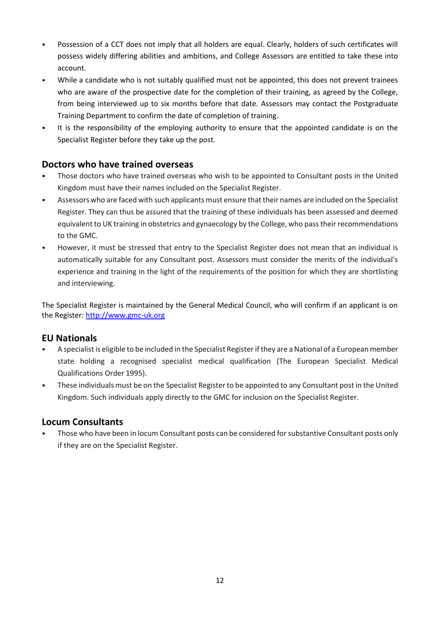- Possession of a CCT does not imply that all holders are equal. Clearly, holders of such certificates will possess widely differing abilities and ambitions, and College Assessors are entitled to take these into account.
- While a candidate who is not suitably qualified must not be appointed, this does not prevent trainees who are aware of the prospective date for the completion of their training, as agreed by the College, from being interviewed up to six months before that date. Assessors may contact the Postgraduate Training Department to confirm the date of completion of training.
- It is the responsibility of the employing authority to ensure that the appointed candidate is on the Specialist Register before they take up the post.

#### **Doctors who have trained overseas**

- Those doctors who have trained overseas who wish to be appointed to Consultant posts in the United Kingdom must have their names included on the Specialist Register.
- Assessors who are faced with such applicants must ensure that their names are included on the Specialist Register. They can thus be assured that the training of these individuals has been assessed and deemed equivalent to UK training in obstetrics and gynaecology by the College, who passtheir recommendations to the GMC.
- However, it must be stressed that entry to the Specialist Register does not mean that an individual is automatically suitable for any Consultant post. Assessors must consider the merits of the individual's experience and training in the light of the requirements of the position for which they are shortlisting and interviewing.

The Specialist Register is maintained by the General Medical Council, who will confirm if an applicant is on the Register: [http://www.gmc-uk.org](http://www.gmc-uk.org/)

#### **EU Nationals**

- A specialist is eligible to be included in the Specialist Register ifthey are a National of a Europeanmember state holding a recognised specialist medical qualification (The European Specialist Medical Qualifications Order 1995).
- These individuals must be on the Specialist Register to be appointed to any Consultant post in the United Kingdom. Such individuals apply directly to the GMC for inclusion on the Specialist Register.

#### **Locum Consultants**

• Those who have been in locum Consultant posts can be considered forsubstantive Consultant posts only if they are on the Specialist Register.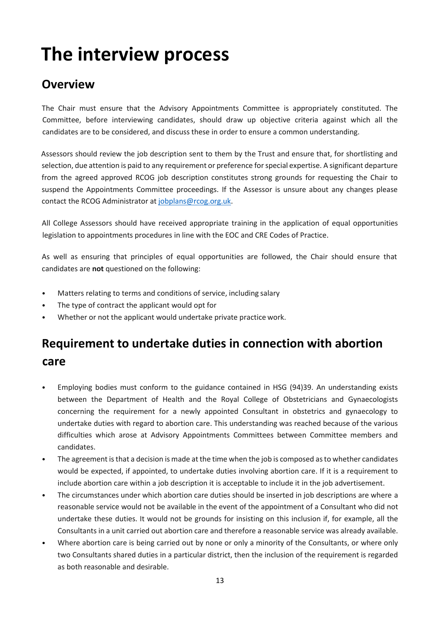## <span id="page-12-0"></span>**The interview process**

### <span id="page-12-1"></span>**Overview**

The Chair must ensure that the Advisory Appointments Committee is appropriately constituted. The Committee, before interviewing candidates, should draw up objective criteria against which all the candidates are to be considered, and discuss these in order to ensure a common understanding.

Assessors should review the job description sent to them by the Trust and ensure that, for shortlisting and selection, due attention is paid to any requirement or preference forspecial expertise. A significant departure from the agreed approved RCOG job description constitutes strong grounds for requesting the Chair to suspend the Appointments Committee proceedings. If the Assessor is unsure about any changes please contact the RCOG Administrator at [jobplans@rcog.org.uk.](mailto:jobplans@rcog.org.uk)

All College Assessors should have received appropriate training in the application of equal opportunities legislation to appointments procedures in line with the EOC and CRE Codes of Practice.

As well as ensuring that principles of equal opportunities are followed, the Chair should ensure that candidates are **not** questioned on the following:

- Matters relating to terms and conditions of service, including salary
- The type of contract the applicant would opt for
- Whether or not the applicant would undertake private practice work.

## **Requirement to undertake duties in connection with abortion care**

- Employing bodies must conform to the guidance contained in HSG (94)39. An understanding exists between the Department of Health and the Royal College of Obstetricians and Gynaecologists concerning the requirement for a newly appointed Consultant in obstetrics and gynaecology to undertake duties with regard to abortion care. This understanding was reached because of the various difficulties which arose at Advisory Appointments Committees between Committee members and candidates.
- The agreement is that a decision is made at the time when the job is composed as to whether candidates would be expected, if appointed, to undertake duties involving abortion care. If it is a requirement to include abortion care within a job description it is acceptable to include it in the job advertisement.
- The circumstances under which abortion care duties should be inserted in job descriptions are where a reasonable service would not be available in the event of the appointment of a Consultant who did not undertake these duties. It would not be grounds for insisting on this inclusion if, for example, all the Consultants in a unit carried out abortion care and therefore a reasonable service was already available.
- Where abortion care is being carried out by none or only a minority of the Consultants, or where only two Consultants shared duties in a particular district, then the inclusion of the requirement is regarded as both reasonable and desirable.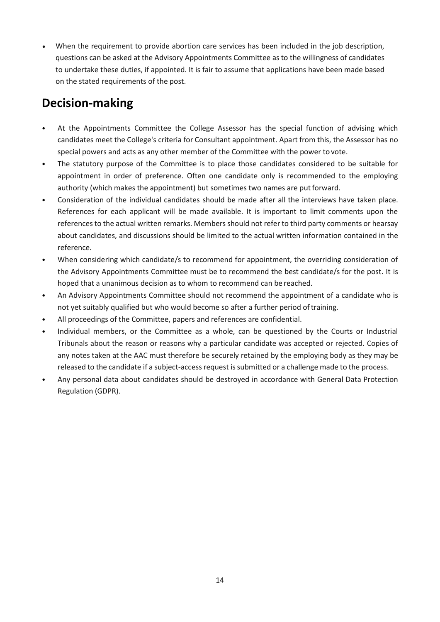When the requirement to provide abortion care services has been included in the job description, questions can be asked at the Advisory Appointments Committee as to the willingness of candidates to undertake these duties, if appointed. It is fair to assume that applications have been made based on the stated requirements of the post.

### <span id="page-13-0"></span>**Decision-making**

- At the Appointments Committee the College Assessor has the special function of advising which candidates meet the College's criteria for Consultant appointment. Apart from this, the Assessor has no special powers and acts as any other member of the Committee with the power to vote.
- The statutory purpose of the Committee is to place those candidates considered to be suitable for appointment in order of preference. Often one candidate only is recommended to the employing authority (which makes the appointment) but sometimes two names are put forward.
- Consideration of the individual candidates should be made after all the interviews have taken place. References for each applicant will be made available. It is important to limit comments upon the references to the actual written remarks. Members should not refer to third party comments or hearsay about candidates, and discussions should be limited to the actual written information contained in the reference.
- When considering which candidate/s to recommend for appointment, the overriding consideration of the Advisory Appointments Committee must be to recommend the best candidate/s for the post. It is hoped that a unanimous decision as to whom to recommend can be reached.
- An Advisory Appointments Committee should not recommend the appointment of a candidate who is not yet suitably qualified but who would become so after a further period of training.
- All proceedings of the Committee, papers and references are confidential.
- Individual members, or the Committee as a whole, can be questioned by the Courts or Industrial Tribunals about the reason or reasons why a particular candidate was accepted or rejected. Copies of any notes taken at the AAC must therefore be securely retained by the employing body as they may be released to the candidate if a subject-access request is submitted or a challenge made to the process.
- Any personal data about candidates should be destroyed in accordance with General Data Protection Regulation (GDPR).